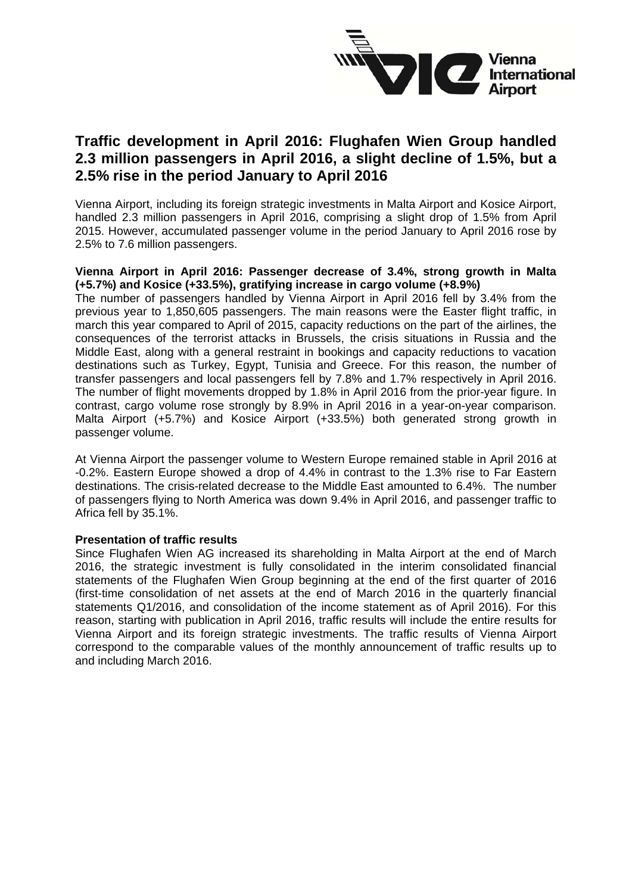

# **Traffic development in April 2016: Flughafen Wien Group handled 2.3 million passengers in April 2016, a slight decline of 1.5%, but a 2.5% rise in the period January to April 2016**

Vienna Airport, including its foreign strategic investments in Malta Airport and Kosice Airport, handled 2.3 million passengers in April 2016, comprising a slight drop of 1.5% from April 2015. However, accumulated passenger volume in the period January to April 2016 rose by 2.5% to 7.6 million passengers.

## **Vienna Airport in April 2016: Passenger decrease of 3.4%, strong growth in Malta (+5.7%) and Kosice (+33.5%), gratifying increase in cargo volume (+8.9%)**

The number of passengers handled by Vienna Airport in April 2016 fell by 3.4% from the previous year to 1,850,605 passengers. The main reasons were the Easter flight traffic, in march this year compared to April of 2015, capacity reductions on the part of the airlines, the consequences of the terrorist attacks in Brussels, the crisis situations in Russia and the Middle East, along with a general restraint in bookings and capacity reductions to vacation destinations such as Turkey, Egypt, Tunisia and Greece. For this reason, the number of transfer passengers and local passengers fell by 7.8% and 1.7% respectively in April 2016. The number of flight movements dropped by 1.8% in April 2016 from the prior-year figure. In contrast, cargo volume rose strongly by 8.9% in April 2016 in a year-on-year comparison. Malta Airport (+5.7%) and Kosice Airport (+33.5%) both generated strong growth in passenger volume.

At Vienna Airport the passenger volume to Western Europe remained stable in April 2016 at -0.2%. Eastern Europe showed a drop of 4.4% in contrast to the 1.3% rise to Far Eastern destinations. The crisis-related decrease to the Middle East amounted to 6.4%. The number of passengers flying to North America was down 9.4% in April 2016, and passenger traffic to Africa fell by 35.1%.

### **Presentation of traffic results**

Since Flughafen Wien AG increased its shareholding in Malta Airport at the end of March 2016, the strategic investment is fully consolidated in the interim consolidated financial statements of the Flughafen Wien Group beginning at the end of the first quarter of 2016 (first-time consolidation of net assets at the end of March 2016 in the quarterly financial statements Q1/2016, and consolidation of the income statement as of April 2016). For this reason, starting with publication in April 2016, traffic results will include the entire results for Vienna Airport and its foreign strategic investments. The traffic results of Vienna Airport correspond to the comparable values of the monthly announcement of traffic results up to and including March 2016.